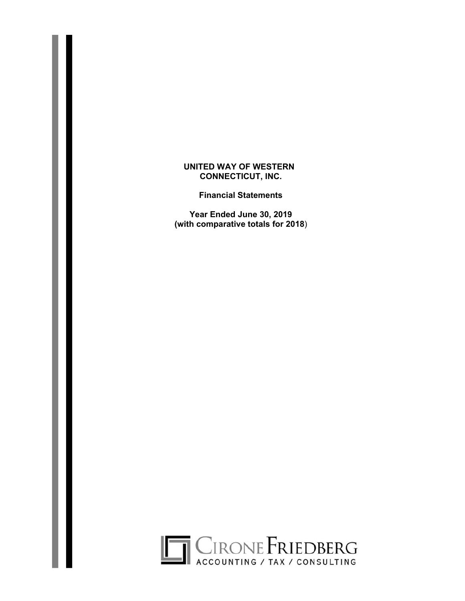**Financial Statements** 

**Year Ended June 30, 2019 (with comparative totals for 2018**)

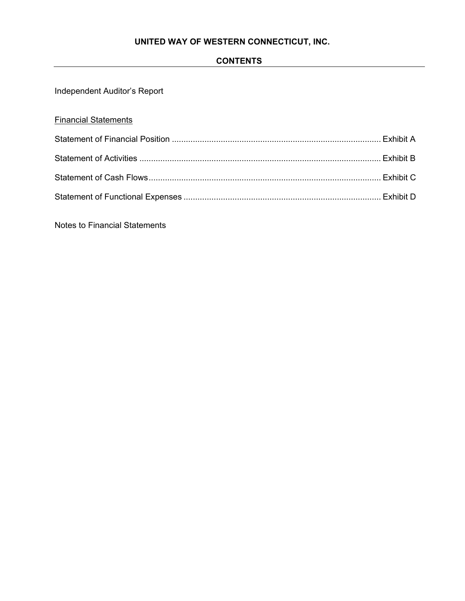## **CONTENTS**

Independent Auditor's Report

# Financial Statements

Notes to Financial Statements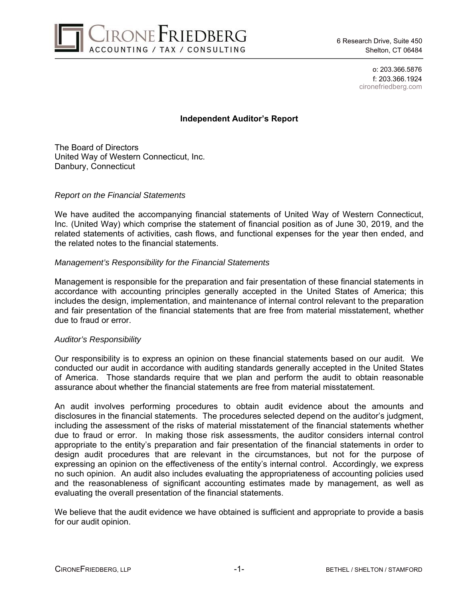

o: 203.366.5876 f: 203.366.1924 cironefriedberg.com

## **Independent Auditor's Report**

The Board of Directors United Way of Western Connecticut, Inc. Danbury, Connecticut

### *Report on the Financial Statements*

We have audited the accompanying financial statements of United Way of Western Connecticut, Inc. (United Way) which comprise the statement of financial position as of June 30, 2019, and the related statements of activities, cash flows, and functional expenses for the year then ended, and the related notes to the financial statements.

### *Management's Responsibility for the Financial Statements*

Management is responsible for the preparation and fair presentation of these financial statements in accordance with accounting principles generally accepted in the United States of America; this includes the design, implementation, and maintenance of internal control relevant to the preparation and fair presentation of the financial statements that are free from material misstatement, whether due to fraud or error.

#### *Auditor's Responsibility*

Our responsibility is to express an opinion on these financial statements based on our audit. We conducted our audit in accordance with auditing standards generally accepted in the United States of America. Those standards require that we plan and perform the audit to obtain reasonable assurance about whether the financial statements are free from material misstatement.

An audit involves performing procedures to obtain audit evidence about the amounts and disclosures in the financial statements. The procedures selected depend on the auditor's judgment, including the assessment of the risks of material misstatement of the financial statements whether due to fraud or error. In making those risk assessments, the auditor considers internal control appropriate to the entity's preparation and fair presentation of the financial statements in order to design audit procedures that are relevant in the circumstances, but not for the purpose of expressing an opinion on the effectiveness of the entity's internal control. Accordingly, we express no such opinion. An audit also includes evaluating the appropriateness of accounting policies used and the reasonableness of significant accounting estimates made by management, as well as evaluating the overall presentation of the financial statements.

We believe that the audit evidence we have obtained is sufficient and appropriate to provide a basis for our audit opinion.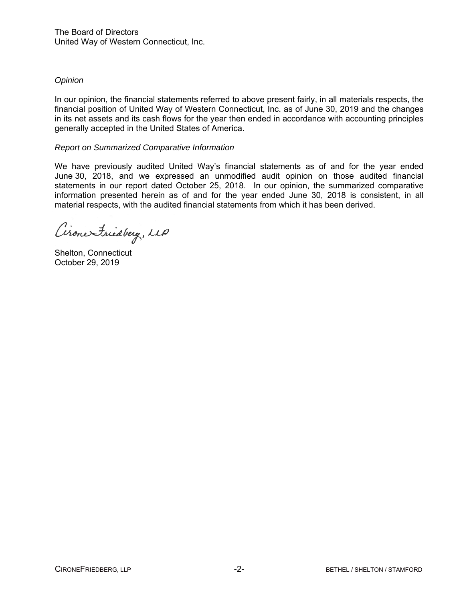## *Opinion*

In our opinion, the financial statements referred to above present fairly, in all materials respects, the financial position of United Way of Western Connecticut, Inc. as of June 30, 2019 and the changes in its net assets and its cash flows for the year then ended in accordance with accounting principles generally accepted in the United States of America.

## *Report on Summarized Comparative Information*

We have previously audited United Way's financial statements as of and for the year ended June 30, 2018, and we expressed an unmodified audit opinion on those audited financial statements in our report dated October 25, 2018. In our opinion, the summarized comparative information presented herein as of and for the year ended June 30, 2018 is consistent, in all material respects, with the audited financial statements from which it has been derived.

Cirone Friedberg, LLP

Shelton, Connecticut October 29, 2019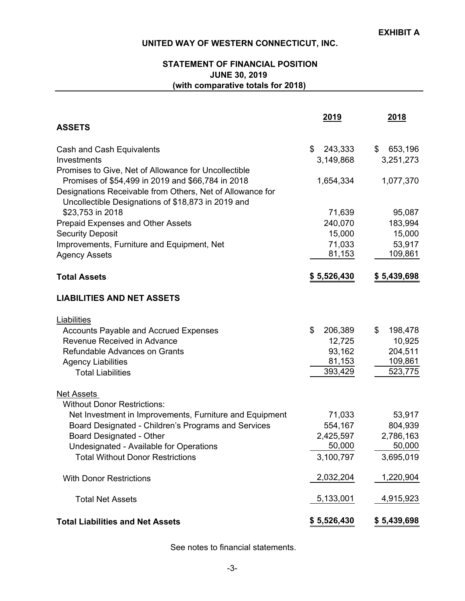# **STATEMENT OF FINANCIAL POSITION JUNE 30, 2019 (with comparative totals for 2018)**

|                                                                                                                 | <u>2019</u>   | <u>2018</u>   |
|-----------------------------------------------------------------------------------------------------------------|---------------|---------------|
| <b>ASSETS</b>                                                                                                   |               |               |
| Cash and Cash Equivalents                                                                                       | \$<br>243,333 | \$<br>653,196 |
| Investments                                                                                                     | 3,149,868     | 3,251,273     |
| Promises to Give, Net of Allowance for Uncollectible                                                            |               |               |
| Promises of \$54,499 in 2019 and \$66,784 in 2018                                                               | 1,654,334     | 1,077,370     |
| Designations Receivable from Others, Net of Allowance for<br>Uncollectible Designations of \$18,873 in 2019 and |               |               |
| \$23,753 in 2018                                                                                                | 71,639        | 95,087        |
| <b>Prepaid Expenses and Other Assets</b>                                                                        | 240,070       | 183,994       |
| <b>Security Deposit</b>                                                                                         | 15,000        | 15,000        |
| Improvements, Furniture and Equipment, Net                                                                      | 71,033        | 53,917        |
| <b>Agency Assets</b>                                                                                            | 81,153        | 109,861       |
| <b>Total Assets</b>                                                                                             | \$5,526,430   | \$5,439,698   |
| <b>LIABILITIES AND NET ASSETS</b>                                                                               |               |               |
| Liabilities                                                                                                     |               |               |
| <b>Accounts Payable and Accrued Expenses</b>                                                                    | \$<br>206,389 | \$<br>198,478 |
| Revenue Received in Advance                                                                                     | 12,725        | 10,925        |
| Refundable Advances on Grants                                                                                   | 93,162        | 204,511       |
| <b>Agency Liabilities</b>                                                                                       | 81,153        | 109,861       |
| <b>Total Liabilities</b>                                                                                        | 393,429       | 523,775       |
| <b>Net Assets</b>                                                                                               |               |               |
| <b>Without Donor Restrictions:</b>                                                                              |               |               |
| Net Investment in Improvements, Furniture and Equipment                                                         | 71,033        | 53,917        |
| Board Designated - Children's Programs and Services                                                             | 554,167       | 804,939       |
| <b>Board Designated - Other</b>                                                                                 | 2,425,597     | 2,786,163     |
| Undesignated - Available for Operations                                                                         | 50,000        | 50,000        |
| <b>Total Without Donor Restrictions</b>                                                                         | 3,100,797     | 3,695,019     |
| <b>With Donor Restrictions</b>                                                                                  | 2,032,204     | 1,220,904     |
| <b>Total Net Assets</b>                                                                                         | 5,133,001     | 4,915,923     |
| <b>Total Liabilities and Net Assets</b>                                                                         | \$5,526,430   | \$5,439,698   |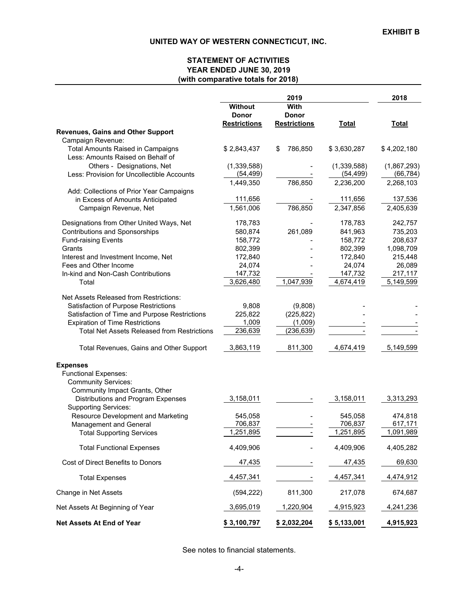### **STATEMENT OF ACTIVITIES YEAR ENDED JUNE 30, 2019 (with comparative totals for 2018)**

|                                                    | 2019                           |                     |               | 2018         |
|----------------------------------------------------|--------------------------------|---------------------|---------------|--------------|
|                                                    | <b>Without</b><br><b>Donor</b> | With<br>Donor       |               |              |
| <b>Revenues, Gains and Other Support</b>           | <b>Restrictions</b>            | <b>Restrictions</b> | <b>Total</b>  | <b>Total</b> |
| Campaign Revenue:                                  |                                |                     |               |              |
| <b>Total Amounts Raised in Campaigns</b>           | \$2,843,437                    | 786,850<br>\$       | \$3,630,287   | \$4,202,180  |
| Less: Amounts Raised on Behalf of                  |                                |                     |               |              |
| Others - Designations, Net                         | (1,339,588)                    |                     | (1, 339, 588) | (1,867,293)  |
| Less: Provision for Uncollectible Accounts         | (54, 499)                      |                     | (54, 499)     | (66, 784)    |
| Add: Collections of Prior Year Campaigns           | 1,449,350                      | 786,850             | 2,236,200     | 2,268,103    |
| in Excess of Amounts Anticipated                   | 111,656                        |                     | 111,656       | 137,536      |
| Campaign Revenue, Net                              | 1,561,006                      | 786,850             | 2,347,856     | 2,405,639    |
|                                                    |                                |                     |               |              |
| Designations from Other United Ways, Net           | 178,783                        |                     | 178,783       | 242,757      |
| Contributions and Sponsorships                     | 580,874                        | 261,089             | 841,963       | 735,203      |
| <b>Fund-raising Events</b>                         | 158,772                        |                     | 158,772       | 208,637      |
| Grants                                             | 802,399                        |                     | 802,399       | 1,098,709    |
| Interest and Investment Income, Net                | 172,840                        |                     | 172,840       | 215,448      |
| Fees and Other Income                              | 24,074                         |                     | 24,074        | 26,089       |
| In-kind and Non-Cash Contributions                 | 147,732                        |                     | 147,732       | 217,117      |
| Total                                              | 3,626,480                      | 1,047,939           | 4,674,419     | 5,149,599    |
| Net Assets Released from Restrictions:             |                                |                     |               |              |
| Satisfaction of Purpose Restrictions               | 9,808                          | (9,808)             |               |              |
| Satisfaction of Time and Purpose Restrictions      | 225,822                        | (225, 822)          |               |              |
| <b>Expiration of Time Restrictions</b>             | 1,009                          | (1,009)             |               |              |
| <b>Total Net Assets Released from Restrictions</b> | 236,639                        | (236, 639)          |               |              |
| Total Revenues, Gains and Other Support            | 3,863,119                      | 811,300             | 4,674,419     | 5,149,599    |
| <b>Expenses</b>                                    |                                |                     |               |              |
| <b>Functional Expenses:</b>                        |                                |                     |               |              |
| <b>Community Services:</b>                         |                                |                     |               |              |
| Community Impact Grants, Other                     |                                |                     |               |              |
| Distributions and Program Expenses                 | 3,158,011                      |                     | 3,158,011     | 3,313,293    |
| <b>Supporting Services:</b>                        |                                |                     |               |              |
| <b>Resource Development and Marketing</b>          | 545,058                        |                     | 545,058       | 474,818      |
| Management and General                             | 706,837                        |                     | 706,837       | 617,171      |
| <b>Total Supporting Services</b>                   | 1,251,895                      |                     | 1,251,895     | 1,091,989    |
| <b>Total Functional Expenses</b>                   | 4,409,906                      |                     | 4,409,906     | 4,405,282    |
| Cost of Direct Benefits to Donors                  | 47,435                         |                     | 47,435        | 69,630       |
|                                                    | 4,457,341                      |                     | 4,457,341     | 4,474,912    |
| <b>Total Expenses</b>                              |                                |                     |               |              |
| Change in Net Assets                               | (594, 222)                     | 811,300             | 217,078       | 674,687      |
| Net Assets At Beginning of Year                    | 3,695,019                      | 1,220,904           | 4,915,923     | 4,241,236    |
| Net Assets At End of Year                          | \$3,100,797                    | \$2,032,204         | \$5,133,001   | 4,915,923    |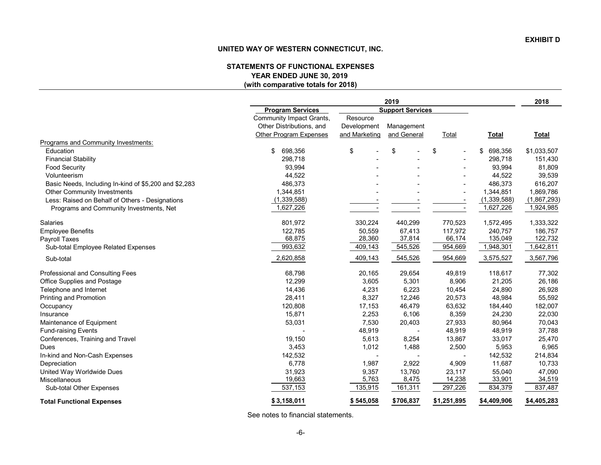### **STATEMENTS OF FUNCTIONAL EXPENSES YEAR ENDED JUNE 30, 2019 (with comparative totals for 2018)**

|                                                       |                                 |               | 2019                    |             |               | 2018         |
|-------------------------------------------------------|---------------------------------|---------------|-------------------------|-------------|---------------|--------------|
|                                                       | <b>Program Services</b>         |               | <b>Support Services</b> |             |               |              |
|                                                       | <b>Community Impact Grants,</b> | Resource      |                         |             |               |              |
|                                                       | Other Distributions, and        | Development   | Management              |             |               |              |
|                                                       | Other Program Expenses          | and Marketing | and General             | Total       | Total         | <b>Total</b> |
| Programs and Community Investments:                   |                                 |               |                         |             |               |              |
| Education                                             | \$<br>698,356                   | \$            | \$                      | \$          | 698,356<br>\$ | \$1,033,507  |
| <b>Financial Stability</b>                            | 298,718                         |               |                         |             | 298,718       | 151,430      |
| <b>Food Security</b>                                  | 93,994                          |               |                         |             | 93,994        | 81,809       |
| Volunteerism                                          | 44,522                          |               |                         |             | 44,522        | 39,539       |
| Basic Needs, Including In-kind of \$5,200 and \$2,283 | 486,373                         |               |                         |             | 486,373       | 616,207      |
| <b>Other Community Investments</b>                    | 1,344,851                       |               |                         |             | 1,344,851     | 1,869,786    |
| Less: Raised on Behalf of Others - Designations       | (1,339,588)                     |               |                         |             | (1,339,588)   | (1,867,293)  |
| Programs and Community Investments, Net               | ,627,226                        |               |                         |             | 1,627,226     | 1,924,985    |
| <b>Salaries</b>                                       | 801,972                         | 330,224       | 440,299                 | 770,523     | 1,572,495     | 1,333,322    |
| <b>Employee Benefits</b>                              | 122,785                         | 50,559        | 67,413                  | 117,972     | 240,757       | 186,757      |
| Payroll Taxes                                         | 68,875                          | 28,360        | 37,814                  | 66,174      | 135,049       | 122,732      |
| Sub-total Employee Related Expenses                   | 993,632                         | 409,143       | 545,526                 | 954,669     | 1,948,301     | 1,642,811    |
| Sub-total                                             | 2,620,858                       | 409,143       | 545,526                 | 954,669     | 3,575,527     | 3,567,796    |
| Professional and Consulting Fees                      | 68,798                          | 20,165        | 29,654                  | 49,819      | 118,617       | 77,302       |
| Office Supplies and Postage                           | 12,299                          | 3,605         | 5,301                   | 8,906       | 21,205        | 26,186       |
| Telephone and Internet                                | 14,436                          | 4,231         | 6,223                   | 10,454      | 24,890        | 26,928       |
| <b>Printing and Promotion</b>                         | 28,411                          | 8,327         | 12,246                  | 20,573      | 48,984        | 55,592       |
| Occupancy                                             | 120,808                         | 17,153        | 46,479                  | 63,632      | 184,440       | 182,007      |
| Insurance                                             | 15,871                          | 2,253         | 6,106                   | 8,359       | 24,230        | 22,030       |
| Maintenance of Equipment                              | 53,031                          | 7,530         | 20,403                  | 27,933      | 80,964        | 70,043       |
| <b>Fund-raising Events</b>                            |                                 | 48,919        |                         | 48,919      | 48,919        | 37,788       |
| Conferences, Training and Travel                      | 19,150                          | 5,613         | 8,254                   | 13,867      | 33,017        | 25,470       |
| <b>Dues</b>                                           | 3,453                           | 1,012         | 1,488                   | 2,500       | 5,953         | 6,965        |
| In-kind and Non-Cash Expenses                         | 142,532                         |               |                         |             | 142,532       | 214,834      |
| Depreciation                                          | 6,778                           | 1,987         | 2,922                   | 4,909       | 11,687        | 10,733       |
| United Way Worldwide Dues                             | 31,923                          | 9,357         | 13,760                  | 23,117      | 55,040        | 47,090       |
| Miscellaneous                                         | 19,663                          | 5,763         | 8,475                   | 14,238      | 33,901        | 34,519       |
| Sub-total Other Expenses                              | 537,153                         | 135,915       | 161,311                 | 297,226     | 834,379       | 837,487      |
| <b>Total Functional Expenses</b>                      | \$3,158,011                     | \$545,058     | \$706,837               | \$1,251,895 | \$4,409,906   | \$4,405,283  |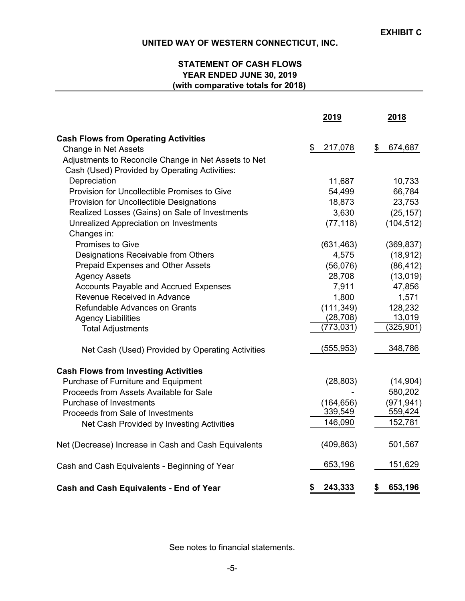# **(with comparative totals for 2018) YEAR ENDED JUNE 30, 2019 STATEMENT OF CASH FLOWS**

|                                                      | 2019          | 2018          |
|------------------------------------------------------|---------------|---------------|
| <b>Cash Flows from Operating Activities</b>          |               |               |
| <b>Change in Net Assets</b>                          | \$<br>217,078 | \$<br>674,687 |
| Adjustments to Reconcile Change in Net Assets to Net |               |               |
| Cash (Used) Provided by Operating Activities:        |               |               |
| Depreciation                                         | 11,687        | 10,733        |
| Provision for Uncollectible Promises to Give         | 54,499        | 66,784        |
| Provision for Uncollectible Designations             | 18,873        | 23,753        |
| Realized Losses (Gains) on Sale of Investments       | 3,630         | (25, 157)     |
| <b>Unrealized Appreciation on Investments</b>        | (77, 118)     | (104, 512)    |
| Changes in:                                          |               |               |
| Promises to Give                                     | (631, 463)    | (369, 837)    |
| Designations Receivable from Others                  | 4,575         | (18, 912)     |
| <b>Prepaid Expenses and Other Assets</b>             | (56,076)      | (86, 412)     |
| <b>Agency Assets</b>                                 | 28,708        | (13,019)      |
| Accounts Payable and Accrued Expenses                | 7,911         | 47,856        |
| Revenue Received in Advance                          | 1,800         | 1,571         |
| <b>Refundable Advances on Grants</b>                 | (111, 349)    | 128,232       |
| <b>Agency Liabilities</b>                            | (28, 708)     | 13,019        |
| <b>Total Adjustments</b>                             | (773, 031)    | (325, 901)    |
| Net Cash (Used) Provided by Operating Activities     | (555,953)     | 348,786       |
| <b>Cash Flows from Investing Activities</b>          |               |               |
| Purchase of Furniture and Equipment                  | (28, 803)     | (14, 904)     |
| Proceeds from Assets Available for Sale              |               | 580,202       |
| <b>Purchase of Investments</b>                       | (164, 656)    | (971, 941)    |
| Proceeds from Sale of Investments                    | 339,549       | 559,424       |
| Net Cash Provided by Investing Activities            | 146,090       | 152,781       |
| Net (Decrease) Increase in Cash and Cash Equivalents | (409, 863)    | 501,567       |
| Cash and Cash Equivalents - Beginning of Year        | 653,196       | 151,629       |
| <b>Cash and Cash Equivalents - End of Year</b>       | 243,333<br>\$ | \$<br>653,196 |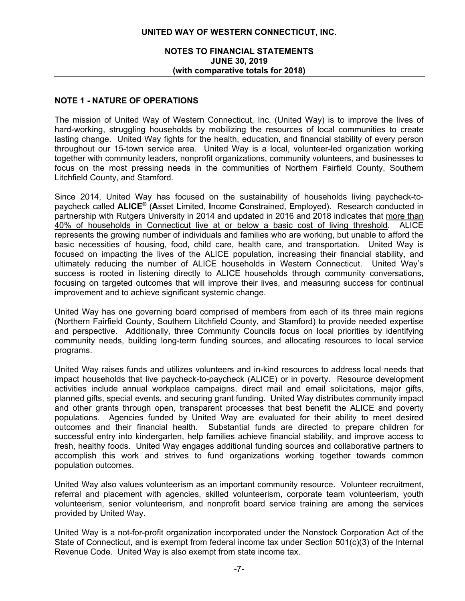## **NOTES TO FINANCIAL STATEMENTS JUNE 30, 2019 (with comparative totals for 2018)**

### **NOTE 1 - NATURE OF OPERATIONS**

The mission of United Way of Western Connecticut, Inc. (United Way) is to improve the lives of hard-working, struggling households by mobilizing the resources of local communities to create lasting change. United Way fights for the health, education, and financial stability of every person throughout our 15-town service area. United Way is a local, volunteer-led organization working together with community leaders, nonprofit organizations, community volunteers, and businesses to focus on the most pressing needs in the communities of Northern Fairfield County, Southern Litchfield County, and Stamford.

Since 2014, United Way has focused on the sustainability of households living paycheck-topaycheck called **ALICE®** (**A**sset **L**imited, **I**ncome **C**onstrained, **E**mployed). Research conducted in partnership with Rutgers University in 2014 and updated in 2016 and 2018 indicates that more than 40% of households in Connecticut live at or below a basic cost of living threshold. ALICE represents the growing number of individuals and families who are working, but unable to afford the basic necessities of housing, food, child care, health care, and transportation. United Way is focused on impacting the lives of the ALICE population, increasing their financial stability, and ultimately reducing the number of ALICE households in Western Connecticut. United Way's success is rooted in listening directly to ALICE households through community conversations, focusing on targeted outcomes that will improve their lives, and measuring success for continual improvement and to achieve significant systemic change.

United Way has one governing board comprised of members from each of its three main regions (Northern Fairfield County, Southern Litchfield County, and Stamford) to provide needed expertise and perspective. Additionally, three Community Councils focus on local priorities by identifying community needs, building long-term funding sources, and allocating resources to local service programs.

United Way raises funds and utilizes volunteers and in-kind resources to address local needs that impact households that live paycheck-to-paycheck (ALICE) or in poverty. Resource development activities include annual workplace campaigns, direct mail and email solicitations, major gifts, planned gifts, special events, and securing grant funding. United Way distributes community impact and other grants through open, transparent processes that best benefit the ALICE and poverty populations. Agencies funded by United Way are evaluated for their ability to meet desired outcomes and their financial health. Substantial funds are directed to prepare children for successful entry into kindergarten, help families achieve financial stability, and improve access to fresh, healthy foods. United Way engages additional funding sources and collaborative partners to accomplish this work and strives to fund organizations working together towards common population outcomes.

United Way also values volunteerism as an important community resource. Volunteer recruitment, referral and placement with agencies, skilled volunteerism, corporate team volunteerism, youth volunteerism, senior volunteerism, and nonprofit board service training are among the services provided by United Way.

United Way is a not-for-profit organization incorporated under the Nonstock Corporation Act of the State of Connecticut, and is exempt from federal income tax under Section 501(c)(3) of the Internal Revenue Code. United Way is also exempt from state income tax.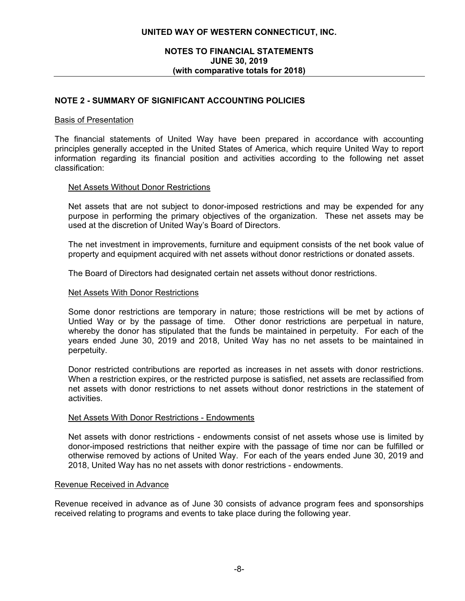## **NOTES TO FINANCIAL STATEMENTS JUNE 30, 2019 (with comparative totals for 2018)**

## **NOTE 2 - SUMMARY OF SIGNIFICANT ACCOUNTING POLICIES**

#### Basis of Presentation

The financial statements of United Way have been prepared in accordance with accounting principles generally accepted in the United States of America, which require United Way to report information regarding its financial position and activities according to the following net asset classification:

#### Net Assets Without Donor Restrictions

Net assets that are not subject to donor-imposed restrictions and may be expended for any purpose in performing the primary objectives of the organization. These net assets may be used at the discretion of United Way's Board of Directors.

The net investment in improvements, furniture and equipment consists of the net book value of property and equipment acquired with net assets without donor restrictions or donated assets.

The Board of Directors had designated certain net assets without donor restrictions.

#### Net Assets With Donor Restrictions

Some donor restrictions are temporary in nature; those restrictions will be met by actions of Untied Way or by the passage of time. Other donor restrictions are perpetual in nature, whereby the donor has stipulated that the funds be maintained in perpetuity. For each of the years ended June 30, 2019 and 2018, United Way has no net assets to be maintained in perpetuity.

Donor restricted contributions are reported as increases in net assets with donor restrictions. When a restriction expires, or the restricted purpose is satisfied, net assets are reclassified from net assets with donor restrictions to net assets without donor restrictions in the statement of activities.

#### Net Assets With Donor Restrictions - Endowments

Net assets with donor restrictions - endowments consist of net assets whose use is limited by donor-imposed restrictions that neither expire with the passage of time nor can be fulfilled or otherwise removed by actions of United Way. For each of the years ended June 30, 2019 and 2018, United Way has no net assets with donor restrictions - endowments.

#### Revenue Received in Advance

Revenue received in advance as of June 30 consists of advance program fees and sponsorships received relating to programs and events to take place during the following year.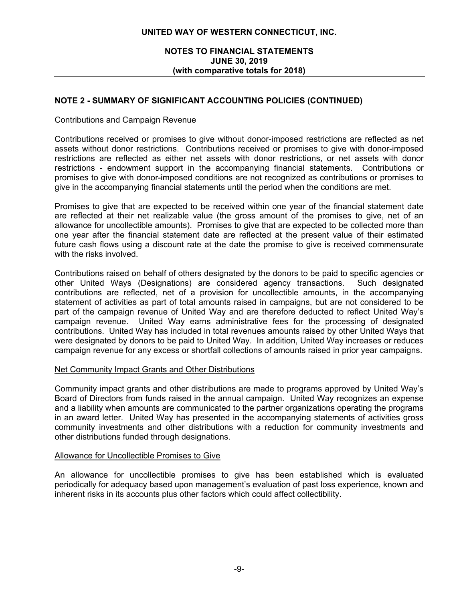## **NOTES TO FINANCIAL STATEMENTS JUNE 30, 2019 (with comparative totals for 2018)**

## **NOTE 2 - SUMMARY OF SIGNIFICANT ACCOUNTING POLICIES (CONTINUED)**

### Contributions and Campaign Revenue

Contributions received or promises to give without donor-imposed restrictions are reflected as net assets without donor restrictions. Contributions received or promises to give with donor-imposed restrictions are reflected as either net assets with donor restrictions, or net assets with donor restrictions - endowment support in the accompanying financial statements. Contributions or promises to give with donor-imposed conditions are not recognized as contributions or promises to give in the accompanying financial statements until the period when the conditions are met.

Promises to give that are expected to be received within one year of the financial statement date are reflected at their net realizable value (the gross amount of the promises to give, net of an allowance for uncollectible amounts). Promises to give that are expected to be collected more than one year after the financial statement date are reflected at the present value of their estimated future cash flows using a discount rate at the date the promise to give is received commensurate with the risks involved.

Contributions raised on behalf of others designated by the donors to be paid to specific agencies or other United Ways (Designations) are considered agency transactions. Such designated contributions are reflected, net of a provision for uncollectible amounts, in the accompanying statement of activities as part of total amounts raised in campaigns, but are not considered to be part of the campaign revenue of United Way and are therefore deducted to reflect United Way's campaign revenue. United Way earns administrative fees for the processing of designated contributions. United Way has included in total revenues amounts raised by other United Ways that were designated by donors to be paid to United Way. In addition, United Way increases or reduces campaign revenue for any excess or shortfall collections of amounts raised in prior year campaigns.

### Net Community Impact Grants and Other Distributions

Community impact grants and other distributions are made to programs approved by United Way's Board of Directors from funds raised in the annual campaign. United Way recognizes an expense and a liability when amounts are communicated to the partner organizations operating the programs in an award letter. United Way has presented in the accompanying statements of activities gross community investments and other distributions with a reduction for community investments and other distributions funded through designations.

### Allowance for Uncollectible Promises to Give

An allowance for uncollectible promises to give has been established which is evaluated periodically for adequacy based upon management's evaluation of past loss experience, known and inherent risks in its accounts plus other factors which could affect collectibility.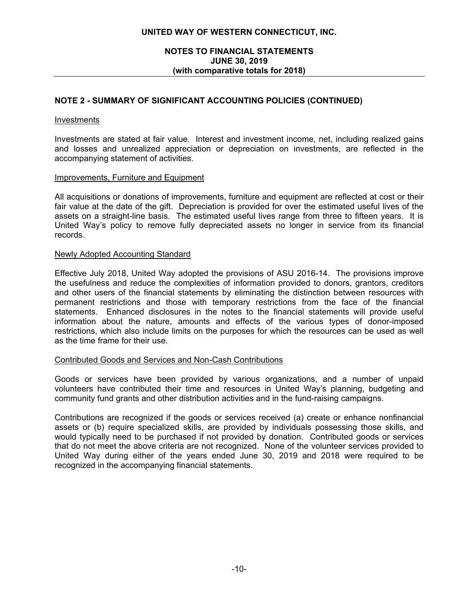## **NOTES TO FINANCIAL STATEMENTS JUNE 30, 2019 (with comparative totals for 2018)**

## **NOTE 2 - SUMMARY OF SIGNIFICANT ACCOUNTING POLICIES (CONTINUED)**

#### Investments

Investments are stated at fair value. Interest and investment income, net, including realized gains and losses and unrealized appreciation or depreciation on investments, are reflected in the accompanying statement of activities.

### Improvements, Furniture and Equipment

All acquisitions or donations of improvements, furniture and equipment are reflected at cost or their fair value at the date of the gift. Depreciation is provided for over the estimated useful lives of the assets on a straight-line basis. The estimated useful lives range from three to fifteen years. It is United Way's policy to remove fully depreciated assets no longer in service from its financial records.

### Newly Adopted Accounting Standard

Effective July 2018, United Way adopted the provisions of ASU 2016-14. The provisions improve the usefulness and reduce the complexities of information provided to donors, grantors, creditors and other users of the financial statements by eliminating the distinction between resources with permanent restrictions and those with temporary restrictions from the face of the financial statements. Enhanced disclosures in the notes to the financial statements will provide useful information about the nature, amounts and effects of the various types of donor-imposed restrictions, which also include limits on the purposes for which the resources can be used as well as the time frame for their use.

### Contributed Goods and Services and Non-Cash Contributions

Goods or services have been provided by various organizations, and a number of unpaid volunteers have contributed their time and resources in United Way's planning, budgeting and community fund grants and other distribution activities and in the fund-raising campaigns.

Contributions are recognized if the goods or services received (a) create or enhance nonfinancial assets or (b) require specialized skills, are provided by individuals possessing those skills, and would typically need to be purchased if not provided by donation. Contributed goods or services that do not meet the above criteria are not recognized. None of the volunteer services provided to United Way during either of the years ended June 30, 2019 and 2018 were required to be recognized in the accompanying financial statements.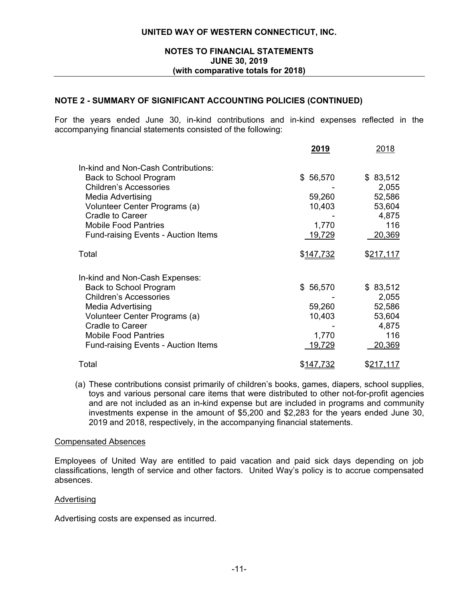## **NOTES TO FINANCIAL STATEMENTS JUNE 30, 2019 (with comparative totals for 2018)**

## **NOTE 2 - SUMMARY OF SIGNIFICANT ACCOUNTING POLICIES (CONTINUED)**

For the years ended June 30, in-kind contributions and in-kind expenses reflected in the accompanying financial statements consisted of the following:

|                                            | 2019              | 2018      |
|--------------------------------------------|-------------------|-----------|
| In-kind and Non-Cash Contributions:        |                   |           |
| Back to School Program                     | \$56,570          | \$83,512  |
| <b>Children's Accessories</b>              |                   | 2,055     |
| <b>Media Advertising</b>                   | 59,260            | 52,586    |
| Volunteer Center Programs (a)              | 10,403            | 53,604    |
| <b>Cradle to Career</b>                    |                   | 4,875     |
| <b>Mobile Food Pantries</b>                | 1,770             | 116       |
| <b>Fund-raising Events - Auction Items</b> | 19,729            | 20,369    |
| Total                                      | \$ <u>147,732</u> | \$217,117 |
| In-kind and Non-Cash Expenses:             |                   |           |
| Back to School Program                     | \$56,570          | \$83,512  |
| <b>Children's Accessories</b>              |                   | 2,055     |
| <b>Media Advertising</b>                   | 59,260            | 52,586    |
| Volunteer Center Programs (a)              | 10,403            | 53,604    |
| <b>Cradle to Career</b>                    |                   | 4,875     |
| <b>Mobile Food Pantries</b>                | 1,770             | 116       |
| <b>Fund-raising Events - Auction Items</b> | <u>19,729</u>     | 20,369    |
| Total                                      | \$147,732         | \$217,117 |

(a) These contributions consist primarily of children's books, games, diapers, school supplies, toys and various personal care items that were distributed to other not-for-profit agencies and are not included as an in-kind expense but are included in programs and community investments expense in the amount of \$5,200 and \$2,283 for the years ended June 30, 2019 and 2018, respectively, in the accompanying financial statements.

#### Compensated Absences

Employees of United Way are entitled to paid vacation and paid sick days depending on job classifications, length of service and other factors. United Way's policy is to accrue compensated absences.

#### Advertising

Advertising costs are expensed as incurred.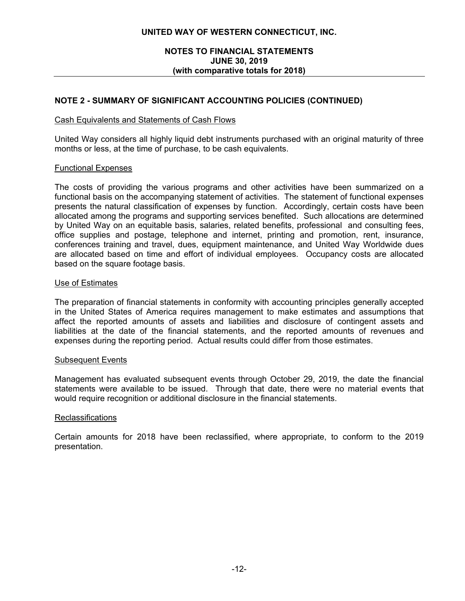## **NOTES TO FINANCIAL STATEMENTS JUNE 30, 2019 (with comparative totals for 2018)**

## **NOTE 2 - SUMMARY OF SIGNIFICANT ACCOUNTING POLICIES (CONTINUED)**

#### Cash Equivalents and Statements of Cash Flows

United Way considers all highly liquid debt instruments purchased with an original maturity of three months or less, at the time of purchase, to be cash equivalents.

### Functional Expenses

The costs of providing the various programs and other activities have been summarized on a functional basis on the accompanying statement of activities. The statement of functional expenses presents the natural classification of expenses by function. Accordingly, certain costs have been allocated among the programs and supporting services benefited. Such allocations are determined by United Way on an equitable basis, salaries, related benefits, professional and consulting fees, office supplies and postage, telephone and internet, printing and promotion, rent, insurance, conferences training and travel, dues, equipment maintenance, and United Way Worldwide dues are allocated based on time and effort of individual employees. Occupancy costs are allocated based on the square footage basis.

### Use of Estimates

The preparation of financial statements in conformity with accounting principles generally accepted in the United States of America requires management to make estimates and assumptions that affect the reported amounts of assets and liabilities and disclosure of contingent assets and liabilities at the date of the financial statements, and the reported amounts of revenues and expenses during the reporting period. Actual results could differ from those estimates.

### Subsequent Events

Management has evaluated subsequent events through October 29, 2019, the date the financial statements were available to be issued. Through that date, there were no material events that would require recognition or additional disclosure in the financial statements.

#### **Reclassifications**

Certain amounts for 2018 have been reclassified, where appropriate, to conform to the 2019 presentation.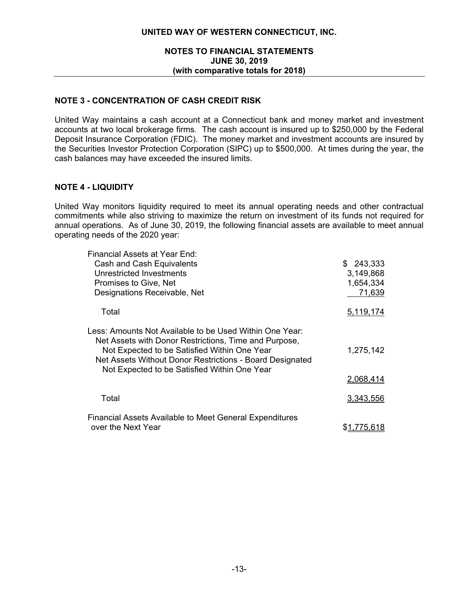## **NOTES TO FINANCIAL STATEMENTS JUNE 30, 2019 (with comparative totals for 2018)**

## **NOTE 3 - CONCENTRATION OF CASH CREDIT RISK**

United Way maintains a cash account at a Connecticut bank and money market and investment accounts at two local brokerage firms. The cash account is insured up to \$250,000 by the Federal Deposit Insurance Corporation (FDIC). The money market and investment accounts are insured by the Securities Investor Protection Corporation (SIPC) up to \$500,000. At times during the year, the cash balances may have exceeded the insured limits.

## **NOTE 4 - LIQUIDITY**

United Way monitors liquidity required to meet its annual operating needs and other contractual commitments while also striving to maximize the return on investment of its funds not required for annual operations. As of June 30, 2019, the following financial assets are available to meet annual operating needs of the 2020 year:

| Financial Assets at Year End:                                                                                                                                                                                                |           |
|------------------------------------------------------------------------------------------------------------------------------------------------------------------------------------------------------------------------------|-----------|
| Cash and Cash Equivalents                                                                                                                                                                                                    | \$243,333 |
| Unrestricted Investments                                                                                                                                                                                                     | 3,149,868 |
| Promises to Give, Net                                                                                                                                                                                                        | 1,654,334 |
| Designations Receivable, Net                                                                                                                                                                                                 | 71,639    |
| Total                                                                                                                                                                                                                        | 5,119,174 |
| Less: Amounts Not Available to be Used Within One Year:<br>Net Assets with Donor Restrictions, Time and Purpose,<br>Not Expected to be Satisfied Within One Year<br>Net Assets Without Donor Restrictions - Board Designated | 1,275,142 |
| Not Expected to be Satisfied Within One Year                                                                                                                                                                                 |           |
|                                                                                                                                                                                                                              | 2,068,414 |
| Total                                                                                                                                                                                                                        | 3,343,556 |
| Financial Assets Available to Meet General Expenditures                                                                                                                                                                      |           |
| over the Next Year                                                                                                                                                                                                           | 75.618    |
|                                                                                                                                                                                                                              |           |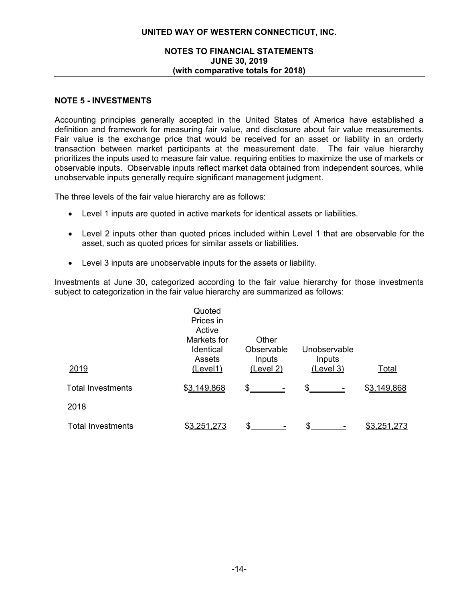## **NOTES TO FINANCIAL STATEMENTS JUNE 30, 2019 (with comparative totals for 2018)**

### **NOTE 5 - INVESTMENTS**

Accounting principles generally accepted in the United States of America have established a definition and framework for measuring fair value, and disclosure about fair value measurements. Fair value is the exchange price that would be received for an asset or liability in an orderly transaction between market participants at the measurement date. The fair value hierarchy prioritizes the inputs used to measure fair value, requiring entities to maximize the use of markets or observable inputs. Observable inputs reflect market data obtained from independent sources, while unobservable inputs generally require significant management judgment.

The three levels of the fair value hierarchy are as follows:

- Level 1 inputs are quoted in active markets for identical assets or liabilities.
- Level 2 inputs other than quoted prices included within Level 1 that are observable for the asset, such as quoted prices for similar assets or liabilities.
- Level 3 inputs are unobservable inputs for the assets or liability.

Investments at June 30, categorized according to the fair value hierarchy for those investments subject to categorization in the fair value hierarchy are summarized as follows:

| 2019                     | Quoted<br>Prices in<br>Active<br>Markets for<br>Identical<br>Assets<br>(Level1) | Other<br>Observable<br>Inputs<br>(Level 2) | Unobservable<br>Inputs<br>(Level 3) | Total       |
|--------------------------|---------------------------------------------------------------------------------|--------------------------------------------|-------------------------------------|-------------|
| <b>Total Investments</b> | \$3,149,868                                                                     | \$.                                        | \$.                                 | \$3,149,868 |
| 2018                     |                                                                                 |                                            |                                     |             |
| <b>Total Investments</b> | \$3,251,273                                                                     | ፍ                                          | \$                                  | \$3,251,273 |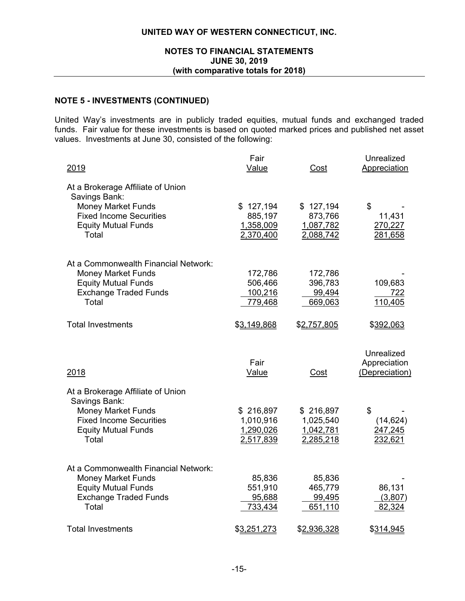### **NOTES TO FINANCIAL STATEMENTS JUNE 30, 2019 (with comparative totals for 2018)**

## **NOTE 5 - INVESTMENTS (CONTINUED)**

United Way's investments are in publicly traded equities, mutual funds and exchanged traded funds. Fair value for these investments is based on quoted marked prices and published net asset values. Investments at June 30, consisted of the following:

| 2019                                                                                                                                                     | Fair<br>Value                                    | Cost                                             | Unrealized<br>Appreciation                   |
|----------------------------------------------------------------------------------------------------------------------------------------------------------|--------------------------------------------------|--------------------------------------------------|----------------------------------------------|
| At a Brokerage Affiliate of Union<br>Savings Bank:<br><b>Money Market Funds</b><br><b>Fixed Income Securities</b><br><b>Equity Mutual Funds</b><br>Total | \$127,194<br>885,197<br>1,358,009<br>2,370,400   | \$127,194<br>873,766<br>1,087,782<br>2,088,742   | \$<br>11,431<br>270,227<br>281,658           |
| At a Commonwealth Financial Network:<br><b>Money Market Funds</b><br><b>Equity Mutual Funds</b><br><b>Exchange Traded Funds</b><br>Total                 | 172,786<br>506,466<br>100,216<br>779,468         | 172,786<br>396,783<br><u>99,494</u><br>669,063   | 109,683<br><u>722</u><br>110,405             |
| <b>Total Investments</b>                                                                                                                                 | \$3,149,868                                      | \$2,757,805                                      | \$392,063                                    |
| 2018                                                                                                                                                     | Fair<br>Value                                    | <u>Cost</u>                                      | Unrealized<br>Appreciation<br>(Depreciation) |
| At a Brokerage Affiliate of Union<br>Savings Bank:<br><b>Money Market Funds</b><br><b>Fixed Income Securities</b><br><b>Equity Mutual Funds</b><br>Total | \$216,897<br>1,010,916<br>1,290,026<br>2,517,839 | \$216,897<br>1,025,540<br>1,042,781<br>2,285,218 | \$<br>(14, 624)<br>247,245<br>232,621        |
| At a Commonwealth Financial Network:<br><b>Money Market Funds</b><br><b>Equity Mutual Funds</b><br><b>Exchange Traded Funds</b><br>Total                 | 85,836<br>551,910<br>95,688<br>733,434           | 85,836<br>465,779<br>99,495<br>651,110           | 86,131<br>(3,807)<br>82,324                  |
| <b>Total Investments</b>                                                                                                                                 | \$3,251,273                                      | \$2,936,328                                      | \$314,945                                    |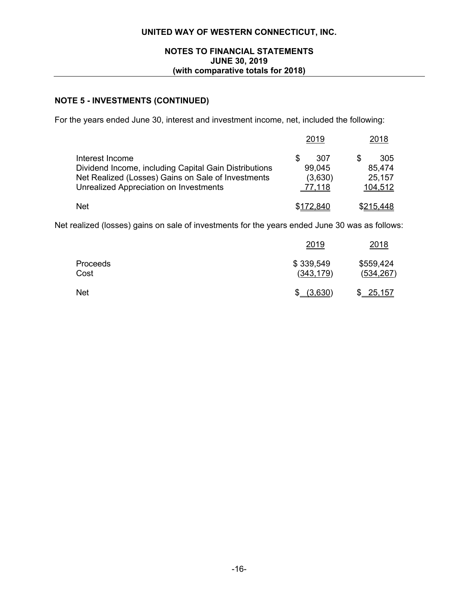## **NOTES TO FINANCIAL STATEMENTS JUNE 30, 2019 (with comparative totals for 2018)**

## **NOTE 5 - INVESTMENTS (CONTINUED)**

For the years ended June 30, interest and investment income, net, included the following:

|                                                                                                                                                                          | 2019                               | 2018                               |
|--------------------------------------------------------------------------------------------------------------------------------------------------------------------------|------------------------------------|------------------------------------|
| Interest Income<br>Dividend Income, including Capital Gain Distributions<br>Net Realized (Losses) Gains on Sale of Investments<br>Unrealized Appreciation on Investments | 307<br>99,045<br>(3,630)<br>77,118 | 305<br>85,474<br>25,157<br>104,512 |
| <b>Net</b>                                                                                                                                                               | \$172,840                          | \$215,448                          |

Net realized (losses) gains on sale of investments for the years ended June 30 was as follows:

|                  | 2019                    | 2018                   |
|------------------|-------------------------|------------------------|
| Proceeds<br>Cost | \$339,549<br>(343, 179) | \$559,424<br>(534,267) |
| <b>Net</b>       | (3,630)                 | \$25,157               |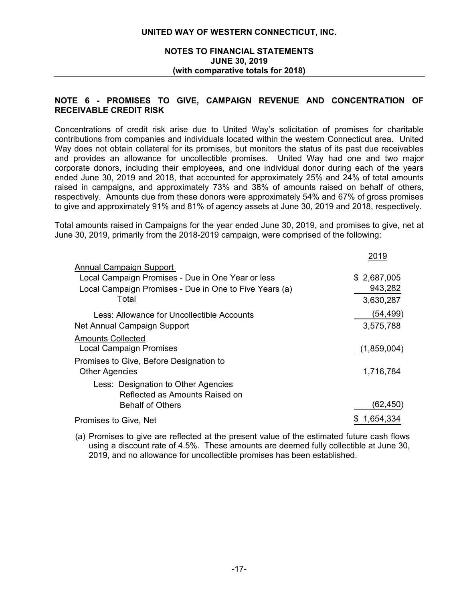## **NOTES TO FINANCIAL STATEMENTS JUNE 30, 2019 (with comparative totals for 2018)**

### **NOTE 6 - PROMISES TO GIVE, CAMPAIGN REVENUE AND CONCENTRATION OF RECEIVABLE CREDIT RISK**

Concentrations of credit risk arise due to United Way's solicitation of promises for charitable contributions from companies and individuals located within the western Connecticut area. United Way does not obtain collateral for its promises, but monitors the status of its past due receivables and provides an allowance for uncollectible promises. United Way had one and two major corporate donors, including their employees, and one individual donor during each of the years ended June 30, 2019 and 2018, that accounted for approximately 25% and 24% of total amounts raised in campaigns, and approximately 73% and 38% of amounts raised on behalf of others, respectively. Amounts due from these donors were approximately 54% and 67% of gross promises to give and approximately 91% and 81% of agency assets at June 30, 2019 and 2018, respectively.

Total amounts raised in Campaigns for the year ended June 30, 2019, and promises to give, net at June 30, 2019, primarily from the 2018-2019 campaign, were comprised of the following:

| 2019        |
|-------------|
|             |
| \$2,687,005 |
| 943,282     |
| 3,630,287   |
| (54,499)    |
| 3,575,788   |
|             |
| (1,859,004) |
|             |
| 1,716,784   |
|             |
|             |
| (62,450)    |
| 1,654,334   |
|             |

(a) Promises to give are reflected at the present value of the estimated future cash flows using a discount rate of 4.5%. These amounts are deemed fully collectible at June 30, 2019, and no allowance for uncollectible promises has been established.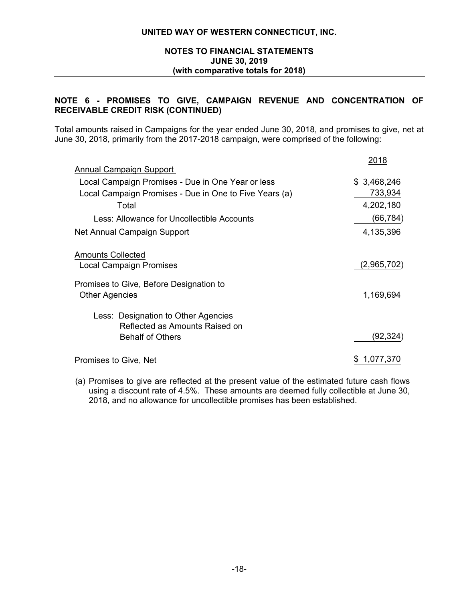## **NOTES TO FINANCIAL STATEMENTS JUNE 30, 2019 (with comparative totals for 2018)**

## **NOTE 6 - PROMISES TO GIVE, CAMPAIGN REVENUE AND CONCENTRATION OF RECEIVABLE CREDIT RISK (CONTINUED)**

Total amounts raised in Campaigns for the year ended June 30, 2018, and promises to give, net at June 30, 2018, primarily from the 2017-2018 campaign, were comprised of the following:

|                                                        | 2018        |
|--------------------------------------------------------|-------------|
| <b>Annual Campaign Support</b>                         |             |
| Local Campaign Promises - Due in One Year or less      | \$3,468,246 |
| Local Campaign Promises - Due in One to Five Years (a) | 733,934     |
| Total                                                  | 4,202,180   |
| Less: Allowance for Uncollectible Accounts             | (66,784)    |
| Net Annual Campaign Support                            | 4,135,396   |
| <b>Amounts Collected</b>                               |             |
| Local Campaign Promises                                | (2,965,702) |
| Promises to Give, Before Designation to                |             |
| <b>Other Agencies</b>                                  | 1,169,694   |
| Less: Designation to Other Agencies                    |             |
| Reflected as Amounts Raised on                         |             |
| <b>Behalf of Others</b>                                | (92,324)    |
| Promises to Give, Net                                  | 1,077,370   |

(a) Promises to give are reflected at the present value of the estimated future cash flows using a discount rate of 4.5%. These amounts are deemed fully collectible at June 30, 2018, and no allowance for uncollectible promises has been established.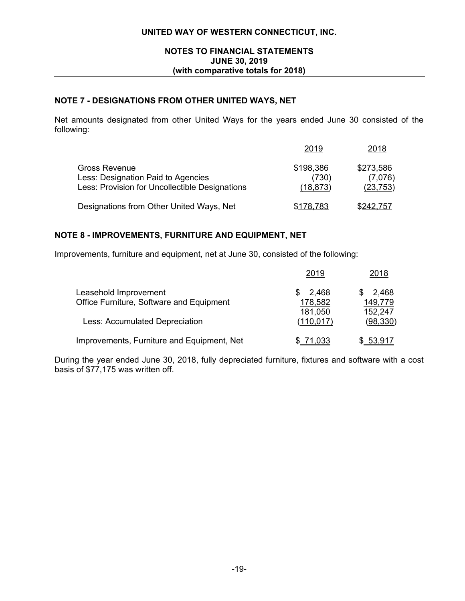## **NOTES TO FINANCIAL STATEMENTS JUNE 30, 2019 (with comparative totals for 2018)**

## **NOTE 7 - DESIGNATIONS FROM OTHER UNITED WAYS, NET**

Net amounts designated from other United Ways for the years ended June 30 consisted of the following:

|                                                | 2019      | 2018      |
|------------------------------------------------|-----------|-----------|
| Gross Revenue                                  | \$198,386 | \$273,586 |
| Less: Designation Paid to Agencies             | (730)     | (7,076)   |
| Less: Provision for Uncollectible Designations | (18, 873) | (23, 753) |
| Designations from Other United Ways, Net       | \$178,783 | \$242,757 |

## **NOTE 8 - IMPROVEMENTS, FURNITURE AND EQUIPMENT, NET**

Improvements, furniture and equipment, net at June 30, consisted of the following:

|                                            | 2019          | 2018            |
|--------------------------------------------|---------------|-----------------|
| Leasehold Improvement                      | 2,468         | 2,468           |
| Office Furniture, Software and Equipment   | 178,582       | 149,779         |
|                                            | 181,050       | 152,247         |
| <b>Less: Accumulated Depreciation</b>      | (110, 017)    | (98, 330)       |
| Improvements, Furniture and Equipment, Net | <u>71.033</u> | <u>\$53,917</u> |

During the year ended June 30, 2018, fully depreciated furniture, fixtures and software with a cost basis of \$77,175 was written off.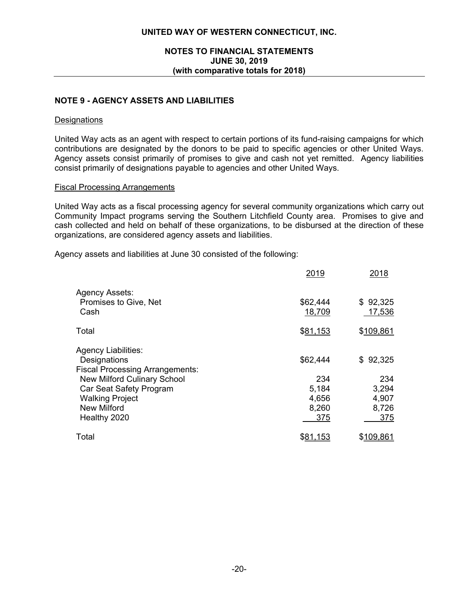## **NOTES TO FINANCIAL STATEMENTS JUNE 30, 2019 (with comparative totals for 2018)**

## **NOTE 9 - AGENCY ASSETS AND LIABILITIES**

### Designations

United Way acts as an agent with respect to certain portions of its fund-raising campaigns for which contributions are designated by the donors to be paid to specific agencies or other United Ways. Agency assets consist primarily of promises to give and cash not yet remitted. Agency liabilities consist primarily of designations payable to agencies and other United Ways.

### Fiscal Processing Arrangements

United Way acts as a fiscal processing agency for several community organizations which carry out Community Impact programs serving the Southern Litchfield County area. Promises to give and cash collected and held on behalf of these organizations, to be disbursed at the direction of these organizations, are considered agency assets and liabilities.

Agency assets and liabilities at June 30 consisted of the following:

|                                                                                                                                                                                                       | 2019                                       | 2018                                            |
|-------------------------------------------------------------------------------------------------------------------------------------------------------------------------------------------------------|--------------------------------------------|-------------------------------------------------|
| <b>Agency Assets:</b><br>Promises to Give, Net<br>Cash                                                                                                                                                | \$62,444<br>18,709                         | \$92,325<br>17,536                              |
| Total                                                                                                                                                                                                 | \$81,153                                   | \$109,861                                       |
| <b>Agency Liabilities:</b><br>Designations<br><b>Fiscal Processing Arrangements:</b><br><b>New Milford Culinary School</b><br>Car Seat Safety Program<br><b>Walking Project</b><br><b>New Milford</b> | \$62,444<br>234<br>5,184<br>4,656<br>8,260 | 92,325<br>\$.<br>234<br>3,294<br>4,907<br>8,726 |
| Healthy 2020                                                                                                                                                                                          | 375                                        | 375                                             |
| Total                                                                                                                                                                                                 | \$81,153                                   | \$109,861                                       |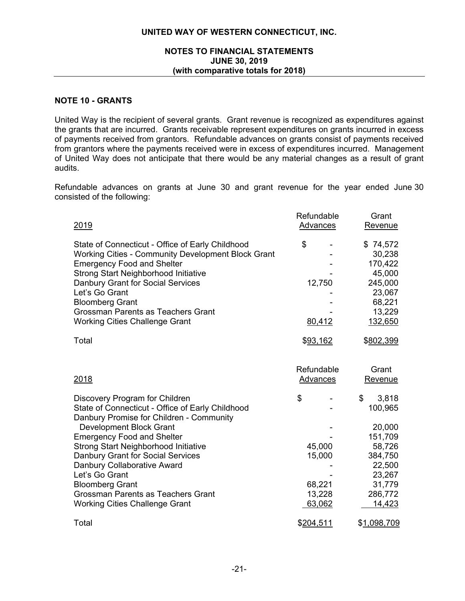## **NOTES TO FINANCIAL STATEMENTS JUNE 30, 2019 (with comparative totals for 2018)**

### **NOTE 10 - GRANTS**

United Way is the recipient of several grants. Grant revenue is recognized as expenditures against the grants that are incurred. Grants receivable represent expenditures on grants incurred in excess of payments received from grantors. Refundable advances on grants consist of payments received from grantors where the payments received were in excess of expenditures incurred. Management of United Way does not anticipate that there would be any material changes as a result of grant audits.

Refundable advances on grants at June 30 and grant revenue for the year ended June 30 consisted of the following:

| 2019                                                                                                                                                                                                                                                                                                                                                              | Refundable<br><b>Advances</b> | Grant<br><u>Revenue</u>                                                                     |
|-------------------------------------------------------------------------------------------------------------------------------------------------------------------------------------------------------------------------------------------------------------------------------------------------------------------------------------------------------------------|-------------------------------|---------------------------------------------------------------------------------------------|
| State of Connecticut - Office of Early Childhood<br><b>Working Cities - Community Development Block Grant</b><br><b>Emergency Food and Shelter</b><br><b>Strong Start Neighborhood Initiative</b><br>Danbury Grant for Social Services<br>Let's Go Grant<br><b>Bloomberg Grant</b><br>Grossman Parents as Teachers Grant<br><b>Working Cities Challenge Grant</b> | \$<br>12,750<br>80,412        | \$74,572<br>30,238<br>170,422<br>45,000<br>245,000<br>23,067<br>68,221<br>13,229<br>132,650 |
| Total                                                                                                                                                                                                                                                                                                                                                             | \$93,162                      | \$802,399                                                                                   |
| 2018                                                                                                                                                                                                                                                                                                                                                              | Refundable<br>Advances        | Grant<br>Revenue                                                                            |
| Discovery Program for Children<br>State of Connecticut - Office of Early Childhood<br>Danbury Promise for Children - Community                                                                                                                                                                                                                                    | \$                            | \$<br>3,818<br>100,965                                                                      |
| <b>Development Block Grant</b>                                                                                                                                                                                                                                                                                                                                    |                               | 20,000                                                                                      |
| <b>Emergency Food and Shelter</b>                                                                                                                                                                                                                                                                                                                                 |                               | 151,709                                                                                     |
| <b>Strong Start Neighborhood Initiative</b>                                                                                                                                                                                                                                                                                                                       | 45,000                        | 58,726                                                                                      |
| <b>Danbury Grant for Social Services</b><br>Danbury Collaborative Award                                                                                                                                                                                                                                                                                           | 15,000                        | 384,750<br>22,500                                                                           |
| Let's Go Grant                                                                                                                                                                                                                                                                                                                                                    |                               | 23,267                                                                                      |
| <b>Bloomberg Grant</b>                                                                                                                                                                                                                                                                                                                                            | 68,221                        | 31,779                                                                                      |
| Grossman Parents as Teachers Grant                                                                                                                                                                                                                                                                                                                                | 13,228                        | 286,772                                                                                     |
| <b>Working Cities Challenge Grant</b>                                                                                                                                                                                                                                                                                                                             | 63,062                        | 14,423                                                                                      |
| Total                                                                                                                                                                                                                                                                                                                                                             | \$204,511                     | \$1,098,709                                                                                 |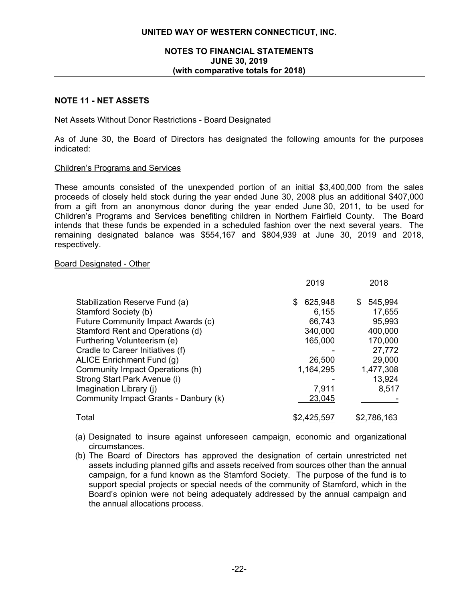## **NOTES TO FINANCIAL STATEMENTS JUNE 30, 2019 (with comparative totals for 2018)**

### **NOTE 11 - NET ASSETS**

#### Net Assets Without Donor Restrictions - Board Designated

As of June 30, the Board of Directors has designated the following amounts for the purposes indicated:

#### Children's Programs and Services

These amounts consisted of the unexpended portion of an initial \$3,400,000 from the sales proceeds of closely held stock during the year ended June 30, 2008 plus an additional \$407,000 from a gift from an anonymous donor during the year ended June 30, 2011, to be used for Children's Programs and Services benefiting children in Northern Fairfield County. The Board intends that these funds be expended in a scheduled fashion over the next several years. The remaining designated balance was \$554,167 and \$804,939 at June 30, 2019 and 2018, respectively.

#### Board Designated - Other

|                                       | 2019         | 2018           |
|---------------------------------------|--------------|----------------|
| Stabilization Reserve Fund (a)        | 625,948<br>S | 545,994<br>\$. |
| Stamford Society (b)                  | 6,155        | 17,655         |
| Future Community Impact Awards (c)    | 66,743       | 95,993         |
| Stamford Rent and Operations (d)      | 340,000      | 400,000        |
| Furthering Volunteerism (e)           | 165,000      | 170,000        |
| Cradle to Career Initiatives (f)      |              | 27,772         |
| ALICE Enrichment Fund (g)             | 26,500       | 29,000         |
| Community Impact Operations (h)       | 1,164,295    | 1,477,308      |
| Strong Start Park Avenue (i)          |              | 13,924         |
| Imagination Library (j)               | 7,911        | 8,517          |
| Community Impact Grants - Danbury (k) | 23,045       |                |
| Total                                 | \$2,425,597  | \$2,786,163    |

- (a) Designated to insure against unforeseen campaign, economic and organizational circumstances.
- (b) The Board of Directors has approved the designation of certain unrestricted net assets including planned gifts and assets received from sources other than the annual campaign, for a fund known as the Stamford Society. The purpose of the fund is to support special projects or special needs of the community of Stamford, which in the Board's opinion were not being adequately addressed by the annual campaign and the annual allocations process.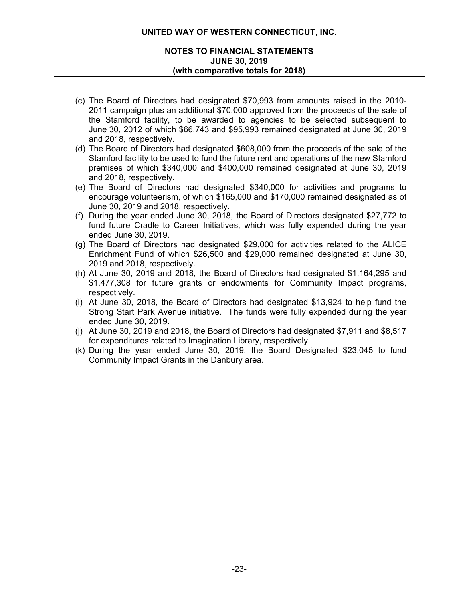## **NOTES TO FINANCIAL STATEMENTS JUNE 30, 2019 (with comparative totals for 2018)**

- (c) The Board of Directors had designated \$70,993 from amounts raised in the 2010- 2011 campaign plus an additional \$70,000 approved from the proceeds of the sale of the Stamford facility, to be awarded to agencies to be selected subsequent to June 30, 2012 of which \$66,743 and \$95,993 remained designated at June 30, 2019 and 2018, respectively.
- (d) The Board of Directors had designated \$608,000 from the proceeds of the sale of the Stamford facility to be used to fund the future rent and operations of the new Stamford premises of which \$340,000 and \$400,000 remained designated at June 30, 2019 and 2018, respectively.
- (e) The Board of Directors had designated \$340,000 for activities and programs to encourage volunteerism, of which \$165,000 and \$170,000 remained designated as of June 30, 2019 and 2018, respectively.
- (f) During the year ended June 30, 2018, the Board of Directors designated \$27,772 to fund future Cradle to Career Initiatives, which was fully expended during the year ended June 30, 2019.
- (g) The Board of Directors had designated \$29,000 for activities related to the ALICE Enrichment Fund of which \$26,500 and \$29,000 remained designated at June 30, 2019 and 2018, respectively.
- (h) At June 30, 2019 and 2018, the Board of Directors had designated \$1,164,295 and \$1,477,308 for future grants or endowments for Community Impact programs, respectively.
- (i) At June 30, 2018, the Board of Directors had designated \$13,924 to help fund the Strong Start Park Avenue initiative. The funds were fully expended during the year ended June 30, 2019.
- (j) At June 30, 2019 and 2018, the Board of Directors had designated \$7,911 and \$8,517 for expenditures related to Imagination Library, respectively.
- (k) During the year ended June 30, 2019, the Board Designated \$23,045 to fund Community Impact Grants in the Danbury area.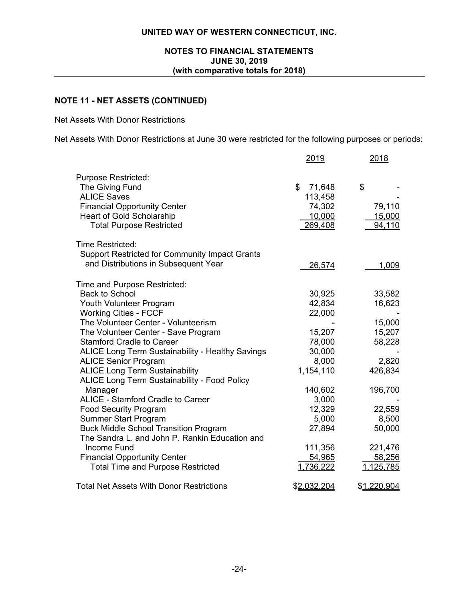## **NOTES TO FINANCIAL STATEMENTS JUNE 30, 2019 (with comparative totals for 2018)**

## **NOTE 11 - NET ASSETS (CONTINUED)**

## Net Assets With Donor Restrictions

Net Assets With Donor Restrictions at June 30 were restricted for the following purposes or periods:

|                                                                                                                                                                                                                                                                                                                                                                                                                                                                                     | 2019                                                                                               | 2018                                                                          |
|-------------------------------------------------------------------------------------------------------------------------------------------------------------------------------------------------------------------------------------------------------------------------------------------------------------------------------------------------------------------------------------------------------------------------------------------------------------------------------------|----------------------------------------------------------------------------------------------------|-------------------------------------------------------------------------------|
| <b>Purpose Restricted:</b><br>The Giving Fund<br><b>ALICE Saves</b><br><b>Financial Opportunity Center</b><br><b>Heart of Gold Scholarship</b><br><b>Total Purpose Restricted</b>                                                                                                                                                                                                                                                                                                   | \$<br>71,648<br>113,458<br>74,302<br>10,000<br>269,408                                             | \$<br>79,110<br>15,000<br>94,110                                              |
| <b>Time Restricted:</b><br><b>Support Restricted for Community Impact Grants</b><br>and Distributions in Subsequent Year                                                                                                                                                                                                                                                                                                                                                            | 26,574                                                                                             | 1,009                                                                         |
| Time and Purpose Restricted:<br><b>Back to School</b><br>Youth Volunteer Program<br><b>Working Cities - FCCF</b><br>The Volunteer Center - Volunteerism<br>The Volunteer Center - Save Program<br><b>Stamford Cradle to Career</b><br><b>ALICE Long Term Sustainability - Healthy Savings</b><br><b>ALICE Senior Program</b><br><b>ALICE Long Term Sustainability</b><br><b>ALICE Long Term Sustainability - Food Policy</b><br>Manager<br><b>ALICE - Stamford Cradle to Career</b> | 30,925<br>42,834<br>22,000<br>15,207<br>78,000<br>30,000<br>8,000<br>1,154,110<br>140,602<br>3,000 | 33,582<br>16,623<br>15,000<br>15,207<br>58,228<br>2,820<br>426,834<br>196,700 |
| <b>Food Security Program</b><br><b>Summer Start Program</b><br><b>Buck Middle School Transition Program</b><br>The Sandra L. and John P. Rankin Education and<br>Income Fund<br><b>Financial Opportunity Center</b><br><b>Total Time and Purpose Restricted</b>                                                                                                                                                                                                                     | 12,329<br>5,000<br>27,894<br>111,356<br>54,965<br>1,736,222                                        | 22,559<br>8,500<br>50,000<br>221,476<br>58,256<br>1,125,785                   |
| <b>Total Net Assets With Donor Restrictions</b>                                                                                                                                                                                                                                                                                                                                                                                                                                     | <u>\$2,032,204</u>                                                                                 | \$1,220,904                                                                   |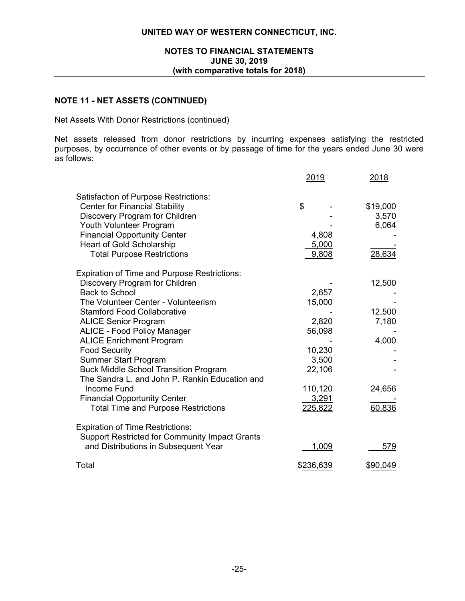## **NOTES TO FINANCIAL STATEMENTS JUNE 30, 2019 (with comparative totals for 2018)**

## **NOTE 11 - NET ASSETS (CONTINUED)**

### Net Assets With Donor Restrictions (continued)

Net assets released from donor restrictions by incurring expenses satisfying the restricted purposes, by occurrence of other events or by passage of time for the years ended June 30 were as follows:

|                                                                                                  | 2019             | 2018     |
|--------------------------------------------------------------------------------------------------|------------------|----------|
| <b>Satisfaction of Purpose Restrictions:</b>                                                     |                  |          |
| <b>Center for Financial Stability</b>                                                            | \$               | \$19,000 |
| Discovery Program for Children                                                                   |                  | 3,570    |
| Youth Volunteer Program                                                                          |                  | 6,064    |
| <b>Financial Opportunity Center</b>                                                              | 4,808            |          |
| <b>Heart of Gold Scholarship</b>                                                                 | 5,000            |          |
| <b>Total Purpose Restrictions</b>                                                                | 9,808            | 28,634   |
| <b>Expiration of Time and Purpose Restrictions:</b>                                              |                  |          |
| Discovery Program for Children                                                                   |                  | 12,500   |
| <b>Back to School</b>                                                                            | 2,657            |          |
| The Volunteer Center - Volunteerism                                                              | 15,000           |          |
| <b>Stamford Food Collaborative</b>                                                               |                  | 12,500   |
| <b>ALICE Senior Program</b>                                                                      | 2,820            | 7,180    |
| <b>ALICE - Food Policy Manager</b>                                                               | 56,098           |          |
| <b>ALICE Enrichment Program</b>                                                                  |                  | 4,000    |
| <b>Food Security</b>                                                                             | 10,230           |          |
| <b>Summer Start Program</b>                                                                      | 3,500            |          |
| <b>Buck Middle School Transition Program</b>                                                     | 22,106           |          |
| The Sandra L. and John P. Rankin Education and                                                   |                  |          |
| <b>Income Fund</b>                                                                               | 110,120          | 24,656   |
| <b>Financial Opportunity Center</b>                                                              | 3,291            |          |
| <b>Total Time and Purpose Restrictions</b>                                                       | 225,822          | 60,836   |
| <b>Expiration of Time Restrictions:</b><br><b>Support Restricted for Community Impact Grants</b> |                  |          |
| and Distributions in Subsequent Year                                                             | 1,009            | 579      |
| Total                                                                                            | <u>\$236.639</u> | \$90,049 |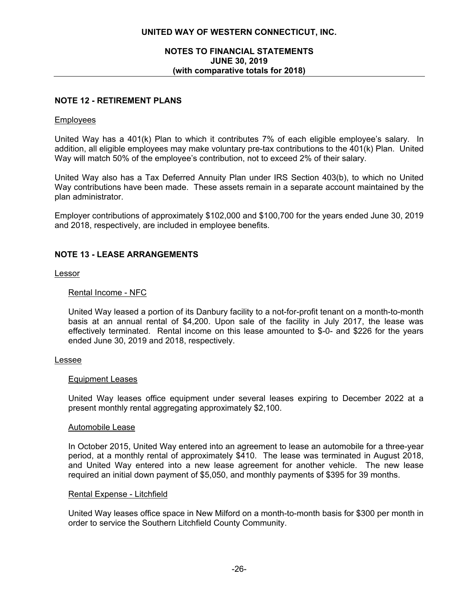## **NOTES TO FINANCIAL STATEMENTS JUNE 30, 2019 (with comparative totals for 2018)**

## **NOTE 12 - RETIREMENT PLANS**

### Employees

United Way has a 401(k) Plan to which it contributes 7% of each eligible employee's salary. In addition, all eligible employees may make voluntary pre-tax contributions to the 401(k) Plan. United Way will match 50% of the employee's contribution, not to exceed 2% of their salary.

United Way also has a Tax Deferred Annuity Plan under IRS Section 403(b), to which no United Way contributions have been made. These assets remain in a separate account maintained by the plan administrator.

Employer contributions of approximately \$102,000 and \$100,700 for the years ended June 30, 2019 and 2018, respectively, are included in employee benefits.

## **NOTE 13 - LEASE ARRANGEMENTS**

Lessor

### Rental Income - NFC

United Way leased a portion of its Danbury facility to a not-for-profit tenant on a month-to-month basis at an annual rental of \$4,200. Upon sale of the facility in July 2017, the lease was effectively terminated. Rental income on this lease amounted to \$-0- and \$226 for the years ended June 30, 2019 and 2018, respectively.

#### Lessee

#### Equipment Leases

United Way leases office equipment under several leases expiring to December 2022 at a present monthly rental aggregating approximately \$2,100.

#### Automobile Lease

In October 2015, United Way entered into an agreement to lease an automobile for a three-year period, at a monthly rental of approximately \$410. The lease was terminated in August 2018, and United Way entered into a new lease agreement for another vehicle. The new lease required an initial down payment of \$5,050, and monthly payments of \$395 for 39 months.

#### Rental Expense - Litchfield

United Way leases office space in New Milford on a month-to-month basis for \$300 per month in order to service the Southern Litchfield County Community.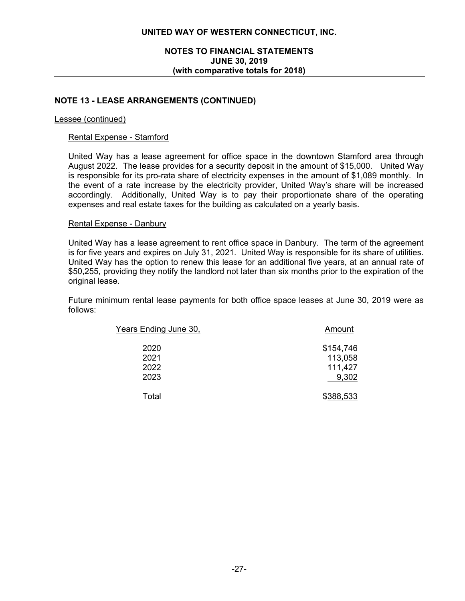## **NOTES TO FINANCIAL STATEMENTS JUNE 30, 2019 (with comparative totals for 2018)**

### **NOTE 13 - LEASE ARRANGEMENTS (CONTINUED)**

#### Lessee (continued)

### Rental Expense - Stamford

United Way has a lease agreement for office space in the downtown Stamford area through August 2022. The lease provides for a security deposit in the amount of \$15,000. United Way is responsible for its pro-rata share of electricity expenses in the amount of \$1,089 monthly. In the event of a rate increase by the electricity provider, United Way's share will be increased accordingly. Additionally, United Way is to pay their proportionate share of the operating expenses and real estate taxes for the building as calculated on a yearly basis.

### Rental Expense - Danbury

United Way has a lease agreement to rent office space in Danbury. The term of the agreement is for five years and expires on July 31, 2021. United Way is responsible for its share of utilities. United Way has the option to renew this lease for an additional five years, at an annual rate of \$50,255, providing they notify the landlord not later than six months prior to the expiration of the original lease.

Future minimum rental lease payments for both office space leases at June 30, 2019 were as follows:

| <u>Years Ending June 30.</u> | Amount    |
|------------------------------|-----------|
| 2020                         | \$154,746 |
| 2021                         | 113,058   |
| 2022                         | 111,427   |
| 2023                         | 9,302     |
| Total                        | \$388,533 |